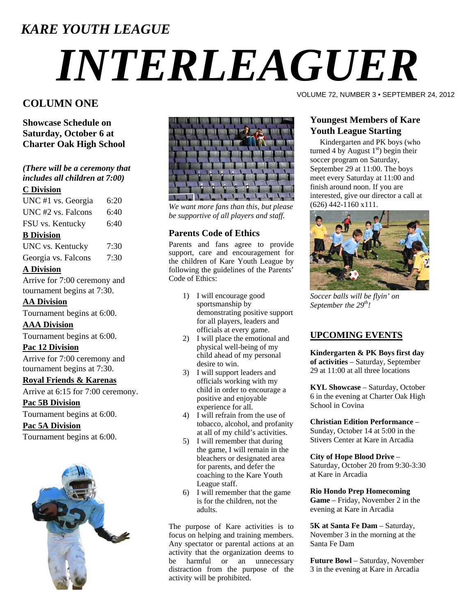### *KARE YOUTH LEAGUE*

# *INTERLEAGUER*

#### **COLUMN ONE**

**Showcase Schedule on Saturday, October 6 at Charter Oak High School** 

*(There will be a ceremony that includes all children at 7:00)*

#### **C Division**

| UNC #1 vs. Georgia           | 6:20 |
|------------------------------|------|
| UNC #2 vs. Falcons           | 6:40 |
| FSU vs. Kentucky             | 6:40 |
| <b>B</b> Division            |      |
| UNC vs. Kentucky             | 7:30 |
| Georgia vs. Falcons          | 7:30 |
| <b>A Division</b>            |      |
| Arrive for 7:00 ceremony and |      |

tournament begins at 7:30.

#### **AA Division**

Tournament begins at 6:00.

#### **AAA Division**

Tournament begins at 6:00.

#### **Pac 12 Division**

Arrive for 7:00 ceremony and tournament begins at 7:30.

#### **Royal Friends & Karenas**

Arrive at 6:15 for 7:00 ceremony.

**Pac 5B Division**

Tournament begins at 6:00.

#### **Pac 5A Division**

Tournament begins at 6:00.





*We want more fans than this, but please be supportive of all players and staff.* 

#### **Parents Code of Ethics**

Parents and fans agree to provide support, care and encouragement for the children of Kare Youth League by following the guidelines of the Parents' Code of Ethics:

- 1) I will encourage good sportsmanship by demonstrating positive support for all players, leaders and officials at every game.
- 2) I will place the emotional and physical well-being of my child ahead of my personal desire to win.
- 3) I will support leaders and officials working with my child in order to encourage a positive and enjoyable experience for all.
- 4) I will refrain from the use of tobacco, alcohol, and profanity at all of my child's activities.
- 5) I will remember that during the game, I will remain in the bleachers or designated area for parents, and defer the coaching to the Kare Youth League staff.
- 6) I will remember that the game is for the children, not the adults.

The purpose of Kare activities is to focus on helping and training members. Any spectator or parental actions at an activity that the organization deems to be harmful or an unnecessary distraction from the purpose of the activity will be prohibited.

VOLUME 72, NUMBER 3 • SEPTEMBER 24, 2012

#### **Youngest Members of Kare Youth League Starting**

 Kindergarten and PK boys (who turned 4 by August  $1<sup>st</sup>$ ) begin their soccer program on Saturday, September 29 at 11:00. The boys meet every Saturday at 11:00 and finish around noon. If you are interested, give our director a call at (626) 442-1160 x111.



*S occer balls will be flyin' on S eptember the 29th!* 

#### **UPCOMING EVENTS**

**Kindergarten & PK Boys first day of activities** – Saturday, September 29 at 11:00 at all three locations

**KYL Showcase** – Saturday, October 6 in the evening at Charter Oak High School in Covina

**Christian Edition Performance** – Sunday, October 14 at 5:00 in the Stivers Center at Kare in Arcadia

#### **City of Hope Blood Drive** –

Saturday, October 20 from 9:30-3:30 at Kare in Arcadia

#### **Rio Hondo Prep Homecoming**

**Game** – Friday, November 2 in the evening at Kare in Arcadia

**5K at Santa Fe Dam** – Saturday, November 3 in the morning at the Santa Fe Dam

**Future Bowl** – Saturday, November 3 in the evening at Kare in Arcadia